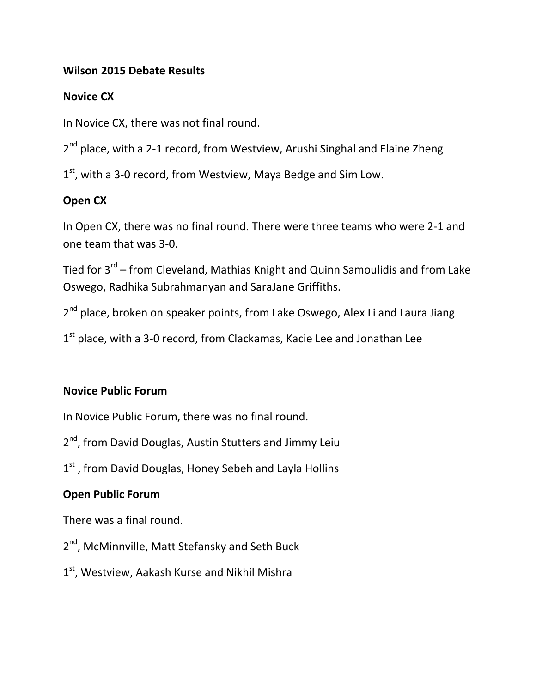#### **Wilson 2015 Debate Results**

#### **Novice CX**

In Novice CX, there was not final round.

2<sup>nd</sup> place, with a 2-1 record, from Westview, Arushi Singhal and Elaine Zheng

1<sup>st</sup>, with a 3-0 record, from Westview, Maya Bedge and Sim Low.

### **Open CX**

In Open CX, there was no final round. There were three teams who were 2-1 and one team that was 3-0.

Tied for 3<sup>rd</sup> – from Cleveland, Mathias Knight and Quinn Samoulidis and from Lake Oswego, Radhika Subrahmanyan and SaraJane Griffiths.

2<sup>nd</sup> place, broken on speaker points, from Lake Oswego, Alex Li and Laura Jiang

1<sup>st</sup> place, with a 3-0 record, from Clackamas, Kacie Lee and Jonathan Lee

#### **Novice Public Forum**

In Novice Public Forum, there was no final round.

2<sup>nd</sup>, from David Douglas, Austin Stutters and Jimmy Leiu

1<sup>st</sup>, from David Douglas, Honey Sebeh and Layla Hollins

### **Open Public Forum**

There was a final round.

- 2<sup>nd</sup>, McMinnville, Matt Stefansky and Seth Buck
- 1<sup>st</sup>, Westview, Aakash Kurse and Nikhil Mishra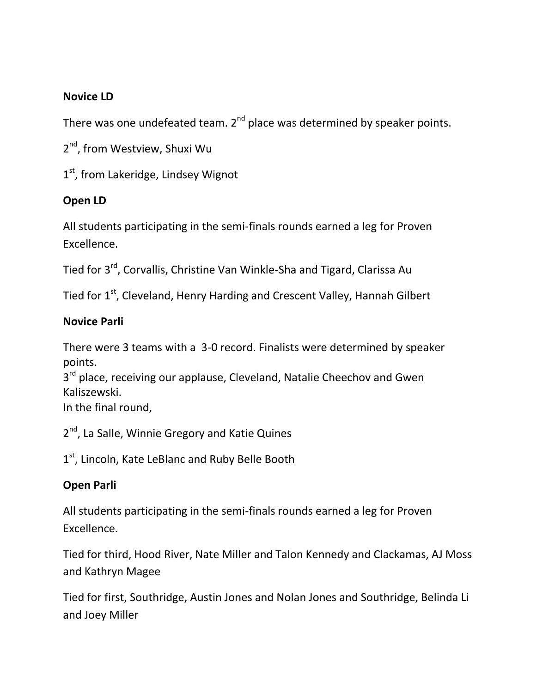#### **Novice LD**

There was one undefeated team.  $2^{nd}$  place was determined by speaker points.

2<sup>nd</sup>, from Westview, Shuxi Wu

1<sup>st</sup>, from Lakeridge, Lindsey Wignot

### **Open LD**

All students participating in the semi-finals rounds earned a leg for Proven Excellence.

Tied for 3rd, Corvallis, Christine Van Winkle-Sha and Tigard, Clarissa Au

Tied for 1<sup>st</sup>, Cleveland, Henry Harding and Crescent Valley, Hannah Gilbert

#### **Novice Parli**

There were 3 teams with a 3-0 record. Finalists were determined by speaker points.

3<sup>rd</sup> place, receiving our applause, Cleveland, Natalie Cheechov and Gwen Kaliszewski.

In the final round,

2<sup>nd</sup>, La Salle, Winnie Gregory and Katie Quines

1<sup>st</sup>, Lincoln, Kate LeBlanc and Ruby Belle Booth

### **Open Parli**

All students participating in the semi-finals rounds earned a leg for Proven Excellence.

Tied for third, Hood River, Nate Miller and Talon Kennedy and Clackamas, AJ Moss and Kathryn Magee

Tied for first, Southridge, Austin Jones and Nolan Jones and Southridge, Belinda Li and Joey Miller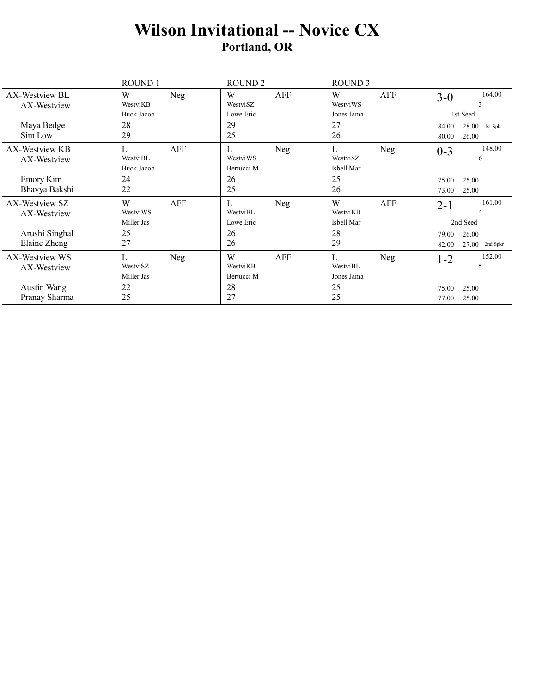## **Wilson Invitational -- Novice CX Portland, OR**

|                                            | ROUND 1                                         | ROUND <sub>2</sub>                       | <b>ROUND 3</b>                           |                                              |
|--------------------------------------------|-------------------------------------------------|------------------------------------------|------------------------------------------|----------------------------------------------|
| AX-Westview BL<br>AX-Westview              | W<br>Neg<br>WestviKB<br><b>Buck Jacob</b>       | AFF<br>W<br>WestviSZ<br>Lowe Eric        | W<br>AFF<br>WestviWS<br>Jones Jama       | 164.00<br>$3-0$<br>3<br>1st Seed             |
| Maya Bedge<br>Sim Low                      | 28<br>29                                        | 29<br>25                                 | 27<br>26                                 | 28.00<br>84.00<br>1st Spkr<br>26.00<br>80.00 |
| AX-Westview KB<br>AX-Westview<br>Emory Kim | AFF<br>L<br>WestviBL<br><b>Buck Jacob</b><br>24 | L<br>Neg<br>WestviWS<br>Bertucci M<br>26 | L<br>Neg<br>WestviSZ<br>Isbell Mar<br>25 | 148.00<br>$0 - 3$<br>6<br>25.00<br>75.00     |
| Bhavya Bakshi                              | 22                                              | 25                                       | 26                                       | 25.00<br>73.00                               |
| AX-Westview SZ<br>AX-Westview              | W<br>AFF<br>WestviWS<br>Miller Jas              | L<br>Neg<br>WestviBL<br>Lowe Eric        | W<br>AFF<br>WestviKB<br>Isbell Mar       | 161.00<br>$2 - 1$<br>4<br>2nd Seed           |
| Arushi Singhal<br>Elaine Zheng             | 25<br>27                                        | 26<br>26                                 | 28<br>29                                 | 26.00<br>79.00<br>27.00<br>82.00<br>2nd Spkr |
| AX-Westview WS<br>AX-Westview              | L<br>Neg<br>WestviSZ<br>Miller Jas              | W<br>AFF<br>WestviKB<br>Bertucci M       | L<br>Neg<br>WestviBL<br>Jones Jama       | 152.00<br>$1 - 2$<br>5                       |
| Austin Wang<br>Pranay Sharma               | 22<br>25                                        | 28<br>27                                 | 25<br>25                                 | 25.00<br>75.00<br>25.00<br>77.00             |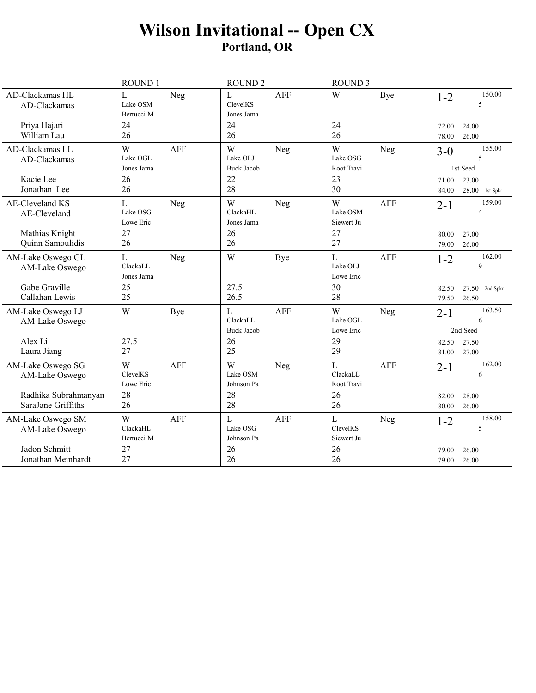## Wilson Invitational -- Open CX<br>Portland, OR

|                                                          | ROUND 1                                         | ROUND <sub>2</sub>                                          | <b>ROUND 3</b>                                       |                                                    |
|----------------------------------------------------------|-------------------------------------------------|-------------------------------------------------------------|------------------------------------------------------|----------------------------------------------------|
| AD-Clackamas HL<br>AD-Clackamas                          | L<br>Neg<br>Lake OSM<br>Bertucci M              | $\mathbf L$<br><b>AFF</b><br>ClevelKS<br>Jones Jama         | W<br>Bye                                             | 150.00<br>$1 - 2$<br>5                             |
| Priya Hajari<br>William Lau                              | 24<br>26                                        | 24<br>26                                                    | 24<br>26                                             | 24.00<br>72.00<br>26.00<br>78.00                   |
| AD-Clackamas LL<br>AD-Clackamas<br>Kacie Lee             | W<br><b>AFF</b><br>Lake OGL<br>Jones Jama<br>26 | W<br>Neg<br>Lake OLJ<br><b>Buck Jacob</b><br>22             | W<br>Neg<br>Lake OSG<br>Root Travi<br>23             | 155.00<br>$3-0$<br>5<br>1st Seed<br>23.00<br>71.00 |
| Jonathan Lee                                             | 26                                              | 28                                                          | 30                                                   | 84.00<br>$28.00$ 1st Spkr                          |
| <b>AE-Cleveland KS</b><br>AE-Cleveland<br>Mathias Knight | L<br>Neg<br>Lake OSG<br>Lowe Eric<br>27         | W<br>Neg<br>ClackaHL<br>Jones Jama<br>26                    | W<br><b>AFF</b><br>Lake OSM<br>Siewert Ju<br>27      | 159.00<br>$2 - 1$<br>4<br>27.00<br>80.00           |
| Quinn Samoulidis                                         | 26                                              | 26                                                          | 27                                                   | 79.00<br>26.00                                     |
| AM-Lake Oswego GL<br>AM-Lake Oswego                      | L<br>Neg<br>ClackaLL<br>Jones Jama              | W<br>Bye                                                    | L<br>AFF<br>Lake OLJ<br>Lowe Eric                    | 162.00<br>$1 - 2$<br>9                             |
| Gabe Graville<br>Callahan Lewis                          | 25<br>25                                        | 27.5<br>26.5                                                | 30<br>28                                             | $27.50$ 2nd Spkr<br>82.50<br>26.50<br>79.50        |
| AM-Lake Oswego LJ<br>AM-Lake Oswego                      | W<br>Bye                                        | $\mathbf{L}$<br><b>AFF</b><br>ClackaLL<br><b>Buck Jacob</b> | W<br>Neg<br>Lake OGL<br>Lowe Eric                    | 163.50<br>$2 - 1$<br>6<br>2nd Seed                 |
| Alex Li<br>Laura Jiang                                   | 27.5<br>27                                      | 26<br>25                                                    | 29<br>29                                             | 27.50<br>82.50<br>27.00<br>81.00                   |
| AM-Lake Oswego SG<br>AM-Lake Oswego                      | W<br><b>AFF</b><br>ClevelKS<br>Lowe Eric        | W<br>Neg<br>Lake OSM<br>Johnson Pa                          | $\mathbf{L}$<br><b>AFF</b><br>ClackaLL<br>Root Travi | 162.00<br>$2 - 1$<br>6                             |
| Radhika Subrahmanyan<br>SaraJane Griffiths               | 28<br>26                                        | 28<br>28                                                    | 26<br>26                                             | 28.00<br>82.00<br>80.00<br>26.00                   |
| AM-Lake Oswego SM<br>AM-Lake Oswego                      | W<br><b>AFF</b><br>ClackaHL<br>Bertucci M       | $\mathbf{L}$<br><b>AFF</b><br>Lake OSG<br>Johnson Pa        | $\mathbf{L}$<br>Neg<br>ClevelKS<br>Siewert Ju        | 158.00<br>$1 - 2$<br>5                             |
| Jadon Schmitt<br>Jonathan Meinhardt                      | 27<br>27                                        | 26<br>26                                                    | 26<br>26                                             | 26.00<br>79.00<br>26.00<br>79.00                   |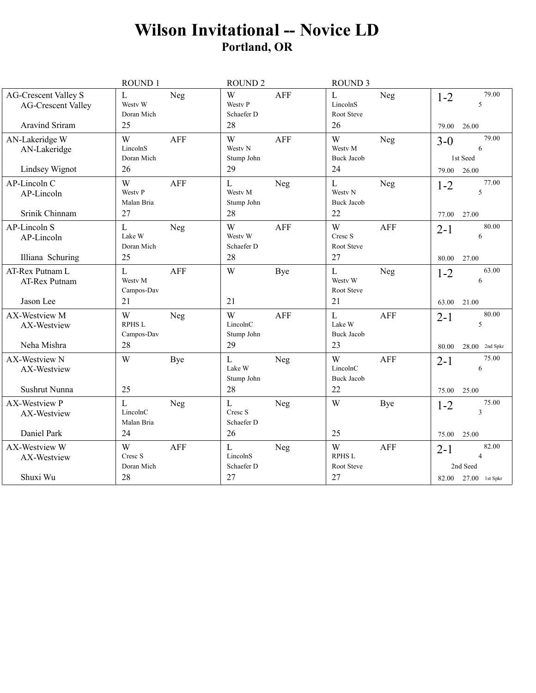## **Wilson Invitational -- Novice LD** Portland, OR

|                                                          | ROUND 1                                               | <b>ROUND 2</b>                                     | <b>ROUND 3</b>                                                  |                                                          |
|----------------------------------------------------------|-------------------------------------------------------|----------------------------------------------------|-----------------------------------------------------------------|----------------------------------------------------------|
| <b>AG-Crescent Valley S</b><br><b>AG-Crescent Valley</b> | $\mathbf L$<br>Neg<br>Westy W<br>Doran Mich           | W<br><b>AFF</b><br><b>Westy P</b><br>Schaefer D    | $\mathbf L$<br>Neg<br>LincolnS<br>Root Steve                    | 79.00<br>$1 - 2$<br>5                                    |
| <b>Aravind Sriram</b>                                    | 25                                                    | 28                                                 | 26                                                              | 79.00<br>26.00                                           |
| AN-Lakeridge W<br>AN-Lakeridge<br>Lindsey Wignot         | W<br><b>AFF</b><br>LincolnS<br>Doran Mich<br>26       | W<br><b>AFF</b><br>Westy N<br>Stump John<br>29     | W<br>Neg<br>Westy M<br><b>Buck Jacob</b><br>24                  | 79.00<br>$3-0$<br>6<br>1st Seed<br>79.00<br>26.00        |
| AP-Lincoln C<br>AP-Lincoln<br>Srinik Chinnam             | W<br><b>AFF</b><br><b>Westy P</b><br>Malan Bria<br>27 | $\mathbf{L}$<br>Neg<br>Westy M<br>Stump John<br>28 | $\mathbf{L}$<br>Neg<br>Westy N<br><b>Buck Jacob</b><br>22       | 77.00<br>$1 - 2$<br>5<br>77.00<br>27.00                  |
| AP-Lincoln S<br>AP-Lincoln<br>Illiana Schuring           | $\mathbf{L}$<br>Neg<br>Lake W<br>Doran Mich<br>25     | <b>AFF</b><br>W<br>Westy W<br>Schaefer D<br>28     | W<br><b>AFF</b><br>Cresc S<br>Root Steve<br>27                  | 80.00<br>$2 - 1$<br>6<br>80.00<br>27.00                  |
| AT-Rex Putnam L<br>AT-Rex Putnam<br>Jason Lee            | <b>AFF</b><br>L<br>Westy M<br>Campos-Dav<br>21        | W<br>Bye<br>21                                     | L<br>Neg<br>Westy W<br>Root Steve<br>21                         | 63.00<br>$1 - 2$<br>6<br>63.00<br>21.00                  |
| AX-Westview M<br>AX-Westview<br>Neha Mishra              | W<br>Neg<br><b>RPHS L</b><br>Campos-Dav<br>28         | W<br><b>AFF</b><br>LincolnC<br>Stump John<br>29    | $\mathbf{L}$<br><b>AFF</b><br>Lake W<br><b>Buck Jacob</b><br>23 | 80.00<br>$2 - 1$<br>5<br>$28.00$ 2nd Spkr<br>80.00       |
| <b>AX-Westview N</b><br>AX-Westview<br>Sushrut Nunna     | W<br>Bye<br>25                                        | $\mathbf{L}$<br>Neg<br>Lake W<br>Stump John<br>28  | W<br><b>AFF</b><br>LincolnC<br><b>Buck Jacob</b><br>22          | 75.00<br>$2 - 1$<br>6<br>25.00<br>75.00                  |
| <b>AX-Westview P</b><br>AX-Westview                      | L<br>Neg<br>LincolnC<br>Malan Bria                    | $\mathbf{L}$<br>Neg<br>Cresc S<br>Schaefer D       | W<br>Bye                                                        | 75.00<br>$1 - 2$<br>3                                    |
| Daniel Park                                              | 24                                                    | 26                                                 | 25                                                              | 25.00<br>75.00                                           |
| AX-Westview W<br>AX-Westview                             | W<br><b>AFF</b><br>Cresc S<br>Doran Mich              | $\overline{L}$<br>Neg<br>LincolnS<br>Schaefer D    | W<br><b>AFF</b><br><b>RPHS L</b><br>Root Steve                  | 82.00<br>$2 - 1$<br>$\overline{\mathcal{L}}$<br>2nd Seed |
| Shuxi Wu                                                 | 28                                                    | 27                                                 | 27                                                              | 82.00 27.00 1st Spkr                                     |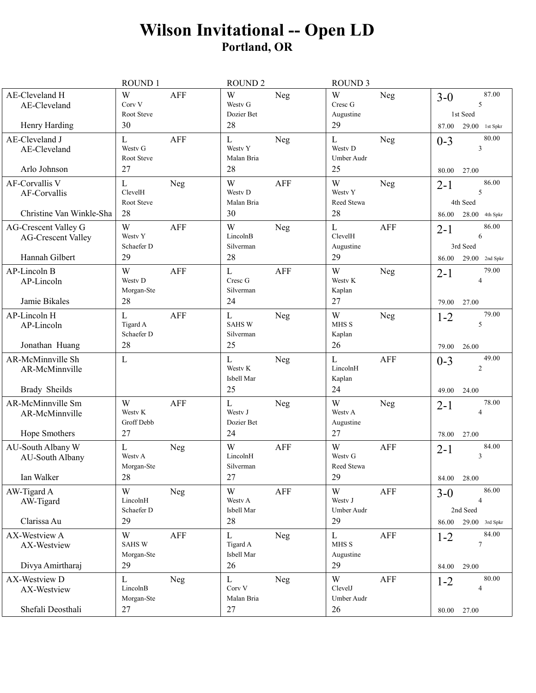## **Wilson Invitational -- Open LD Portland, OR**

|                                                                            | <b>ROUND1</b>                                             | <b>ROUND 2</b>                                 |            | <b>ROUND 3</b>                             |            |                                                                           |
|----------------------------------------------------------------------------|-----------------------------------------------------------|------------------------------------------------|------------|--------------------------------------------|------------|---------------------------------------------------------------------------|
| AE-Cleveland H<br>AE-Cleveland                                             | W<br><b>AFF</b><br>Corv V<br>Root Steve                   | W<br>Westy G<br>Dozier Bet                     | Neg        | W<br>Cresc G<br>Augustine                  | Neg        | 87.00<br>$3-0$<br>5<br>1st Seed                                           |
| Henry Harding                                                              | 30                                                        | 28                                             |            | 29                                         |            | 29.00<br>87.00<br>1st Spkr                                                |
| AE-Cleveland J<br>AE-Cleveland<br>Arlo Johnson                             | L<br><b>AFF</b><br>Westy G<br>Root Steve<br>27            | L<br>Westy Y<br>Malan Bria<br>28               | Neg        | L<br>Westy D<br>Umber Audr<br>25           | Neg        | 80.00<br>$0 - 3$<br>3<br>27.00<br>80.00                                   |
| AF-Corvallis V<br>AF-Corvallis<br>Christine Van Winkle-Sha                 | L<br>Neg<br>ClevelH<br>Root Steve<br>28                   | W<br>Westy D<br>Malan Bria<br>30               | <b>AFF</b> | W<br>Westy Y<br>Reed Stewa<br>28           | <b>Neg</b> | 86.00<br>$2 - 1$<br>5<br>4th Seed<br>28.00<br>4th Spkr<br>86.00           |
| <b>AG-Crescent Valley G</b><br><b>AG-Crescent Valley</b><br>Hannah Gilbert | W<br>AFF<br>Westy Y<br>Schaefer D<br>29                   | W<br>LincolnB<br>Silverman<br>28               | Neg        | $\mathbf{L}$<br>ClevelH<br>Augustine<br>29 | <b>AFF</b> | 86.00<br>$2 - 1$<br>6<br>3rd Seed<br>$29.00$ 2nd Spkr<br>86.00            |
| <b>AP-Lincoln B</b><br>AP-Lincoln<br>Jamie Bikales                         | W<br><b>AFF</b><br>Westy D<br>Morgan-Ste<br>28            | L<br>Cresc G<br>Silverman<br>24                | <b>AFF</b> | W<br>Westy K<br>Kaplan<br>27               | Neg        | 79.00<br>$2 - 1$<br>4<br>27.00<br>79.00                                   |
| AP-Lincoln H<br>AP-Lincoln<br>Jonathan Huang                               | $\mathbf L$<br><b>AFF</b><br>Tigard A<br>Schaefer D<br>28 | $\mathbf L$<br><b>SAHSW</b><br>Silverman<br>25 | Neg        | W<br>MHS <sub>S</sub><br>Kaplan<br>26      | <b>Neg</b> | 79.00<br>$1 - 2$<br>5<br>79.00<br>26.00                                   |
| AR-McMinnville Sh<br>AR-McMinnville<br>Brady Sheilds                       | $\mathbf{L}$                                              | $\mathbf L$<br>Westy K<br>Isbell Mar<br>25     | Neg        | L<br>LincolnH<br>Kaplan<br>24              | <b>AFF</b> | 49.00<br>$0 - 3$<br>$\overline{c}$<br>49.00<br>24.00                      |
| AR-McMinnville Sm<br>AR-McMinnville<br>Hope Smothers                       | W<br><b>AFF</b><br>Westy K<br>Groff Debb<br>27            | $\mathbf{L}$<br>Westy J<br>Dozier Bet<br>24    | Neg        | W<br>Westy A<br>Augustine<br>27            | Neg        | 78.00<br>$2 - 1$<br>4<br>27.00<br>78.00                                   |
| AU-South Albany W<br>AU-South Albany<br>Ian Walker                         | $\mathbf{L}$<br>Neg<br>Westy A<br>Morgan-Ste<br>28        | W<br>LincolnH<br>Silverman<br>27               | <b>AFF</b> | W<br>Westy G<br>Reed Stewa<br>29           | <b>AFF</b> | 84.00<br>$2 - 1$<br>3<br>84.00<br>28.00                                   |
| AW-Tigard A<br>AW-Tigard<br>Clarissa Au                                    | W<br>Neg<br>LincolnH<br>Schaefer D<br>29                  | W<br>Westv A<br>Isbell Mar<br>28               | AFF        | W<br>Westy J<br>Umber Audr<br>29           | <b>AFF</b> | 86.00<br>$3-0$<br>$\overline{4}$<br>2nd Seed                              |
| AX-Westview A<br>AX-Westview<br>Divya Amirtharaj                           | W<br>AFF<br><b>SAHSW</b><br>Morgan-Ste<br>29              | $\mathbf{L}$<br>Tigard A<br>Isbell Mar<br>26   | Neg        | $\mathbf L$<br>MHS S<br>Augustine<br>29    | AFF        | 86.00<br>$29.00$ 3rd Spkr<br>84.00<br>$1 - 2$<br>$\tau$<br>29.00<br>84.00 |
| AX-Westview D<br>AX-Westview<br>Shefali Deosthali                          | $\mathbf{L}$<br>Neg<br>LincolnB<br>Morgan-Ste<br>27       | L<br>Corv V<br>Malan Bria<br>27                | Neg        | W<br>ClevelJ<br>Umber Audr<br>26           | <b>AFF</b> | 80.00<br>$1 - 2$<br>4<br>27.00<br>80.00                                   |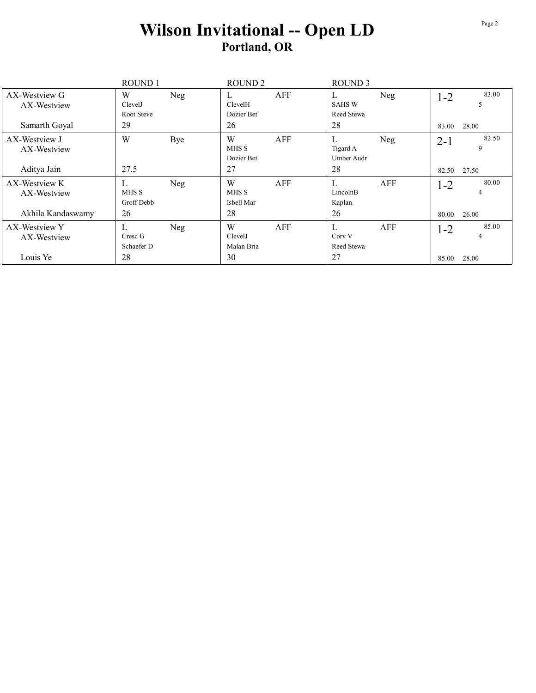## **Wilson Invitational -- Open LD Portland, OR**

|                              | <b>ROUND1</b> |     | ROUND <sub>2</sub> |     | <b>ROUND 3</b>     |     |         |            |
|------------------------------|---------------|-----|--------------------|-----|--------------------|-----|---------|------------|
| AX-Westview G<br>AX-Westview | W<br>ClevelJ  | Neg | L<br>ClevelH       | AFF | L<br><b>SAHS W</b> | Neg | $1 - 2$ | 83.00<br>5 |
|                              | Root Steve    |     | Dozier Bet         |     | Reed Stewa         |     |         |            |
| Samarth Goyal                | 29            |     | 26                 |     | 28                 |     | 83.00   | 28.00      |
| AX-Westview J                | W             | Bye | W                  | AFF | L                  | Neg | $2 - 1$ | 82.50      |
| AX-Westview                  |               |     | MHS S              |     | Tigard A           |     |         | 9          |
|                              |               |     | Dozier Bet         |     | Umber Audr         |     |         |            |
| Aditya Jain                  | 27.5          |     | 27                 |     | 28                 |     | 82.50   | 27.50      |
| AX-Westview K                | L             | Neg | W                  | AFF | L                  | AFF | $1-2$   | 80.00      |
| AX-Westview                  | MHS S         |     | MHS S              |     | LincolnB           |     |         | 4          |
|                              | Groff Debb    |     | Isbell Mar         |     | Kaplan             |     |         |            |
| Akhila Kandaswamy            | 26            |     | 28                 |     | 26                 |     | 80.00   | 26.00      |
| AX-Westview Y                | L             | Neg | W                  | AFF | L                  | AFF | $1 - 2$ | 85.00      |
| AX-Westview                  | Cresc G       |     | ClevelJ            |     | Corv V             |     |         | 4          |
|                              | Schaefer D    |     | Malan Bria         |     | Reed Stewa         |     |         |            |
| Louis Ye                     | 28            |     | 30                 |     | 27                 |     | 85.00   | 28.00      |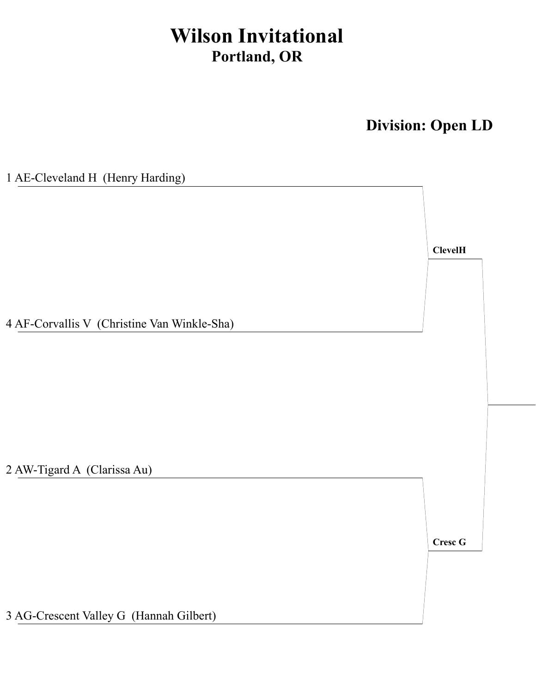## **Wilson Invitational Portland, OR**

**Division: Open LD**

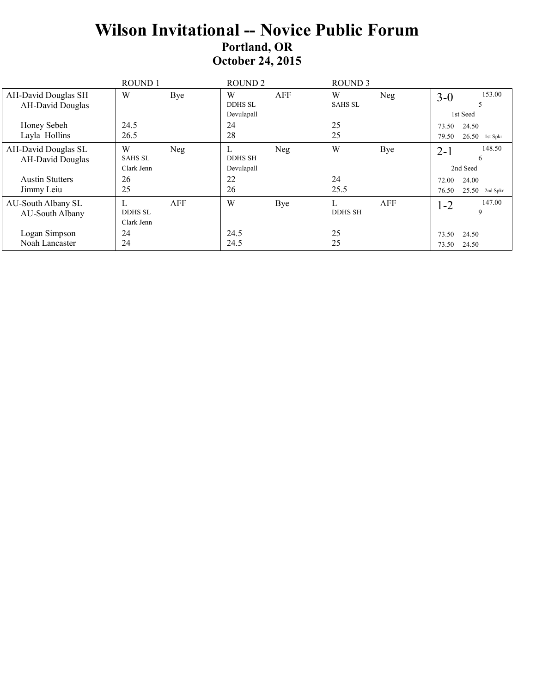## **Wilson Invitational -- Novice Public Forum Portland, OR October 24, 2015**

|                                                       | <b>ROUND1</b>                     |     | ROUND <sub>2</sub>     |     | ROUND <sub>3</sub>  |     |                |                                       |
|-------------------------------------------------------|-----------------------------------|-----|------------------------|-----|---------------------|-----|----------------|---------------------------------------|
| <b>AH-David Douglas SH</b><br><b>AH-David Douglas</b> | W                                 | Bye | W<br><b>DDHS SL</b>    | AFF | W<br><b>SAHS SL</b> | Neg | $3 - 0$        | 153.00                                |
| Honey Sebeh                                           | 24.5                              |     | Devulapall<br>24       |     | 25                  |     | 73.50          | 1st Seed<br>24.50                     |
| Layla Hollins                                         | 26.5                              |     | 28                     |     | 25                  |     | 79.50          | 26.50<br>1st Spkr                     |
| AH-David Douglas SL<br><b>AH-David Douglas</b>        | W<br><b>SAHS SL</b>               | Neg | L<br><b>DDHS SH</b>    | Neg | W                   | Bye | $2 - 1$        | 148.50<br>6                           |
| <b>Austin Stutters</b><br>Jimmy Leiu                  | Clark Jenn<br>26<br>25            |     | Devulapall<br>22<br>26 |     | 24<br>25.5          |     | 72.00<br>76.50 | 2nd Seed<br>24.00<br>$25.50$ 2nd Spkr |
| AU-South Albany SL<br>AU-South Albany                 | L<br><b>DDHS SL</b><br>Clark Jenn | AFF | W                      | Bye | <b>DDHS SH</b>      | AFF | $1 - 2$        | 147.00<br>9                           |
| Logan Simpson<br>Noah Lancaster                       | 24<br>24                          |     | 24.5<br>24.5           |     | 25<br>25            |     | 73.50<br>73.50 | 24.50<br>24.50                        |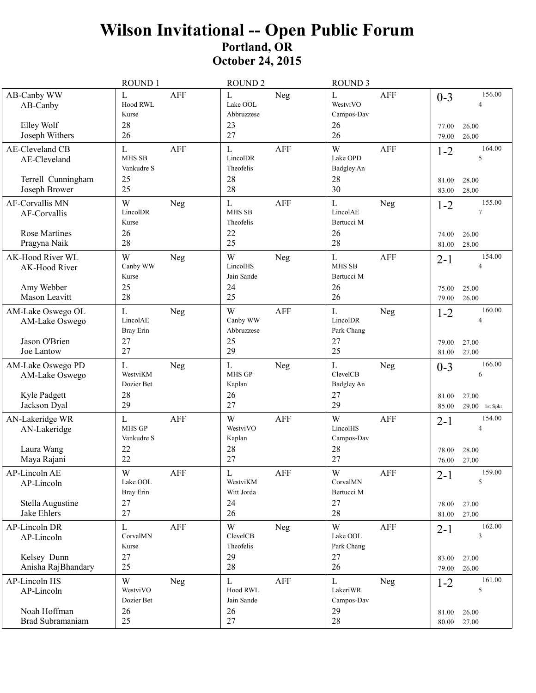## Wilson Invitational -- Open Public Forum<br>Portland, OR **October 24, 2015**

|                                                                     | ROUND 1                                                    | <b>ROUND 2</b>                                            | <b>ROUND 3</b>                                                               |                                                                       |
|---------------------------------------------------------------------|------------------------------------------------------------|-----------------------------------------------------------|------------------------------------------------------------------------------|-----------------------------------------------------------------------|
| AB-Canby WW<br>AB-Canby<br>Elley Wolf<br>Joseph Withers             | L<br><b>AFF</b><br>Hood RWL<br>Kurse<br>28<br>26           | $\mathbf L$<br>Neg<br>Lake OOL<br>Abbruzzese<br>23<br>27  | $\mathbf{L}$<br>AFF<br>WestviVO<br>Campos-Dav<br>26<br>26                    | 156.00<br>$0 - 3$<br>Δ<br>77.00<br>26.00<br>79.00<br>26.00            |
| AE-Cleveland CB<br>AE-Cleveland                                     | <b>AFF</b><br>L<br><b>MHS SB</b><br>Vankudre S             | $\mathbf L$<br><b>AFF</b><br>LincolDR<br>Theofelis        | W<br>AFF<br>Lake OPD<br>Badgley An                                           | 164.00<br>$1 - 2$<br>5                                                |
| Terrell Cunningham<br>Joseph Brower                                 | 25<br>25                                                   | 28<br>28                                                  | 28<br>30                                                                     | 28.00<br>81.00<br>28.00<br>83.00                                      |
| <b>AF-Corvallis MN</b><br>AF-Corvallis                              | W<br>Neg<br>LincolDR<br>Kurse                              | $\mathbf L$<br><b>AFF</b><br><b>MHS SB</b><br>Theofelis   | $\mathbf{L}$<br>Neg<br>LincolAE<br>Bertucci M                                | 155.00<br>$1 - 2$<br>7                                                |
| Rose Martines<br>Pragyna Naik                                       | 26<br>28                                                   | 22<br>25                                                  | 26<br>28                                                                     | 26.00<br>74.00<br>81.00<br>28.00                                      |
| AK-Hood River WL<br>AK-Hood River<br>Amy Webber<br>Mason Leavitt    | W<br>Neg<br>Canby WW<br>Kurse<br>25                        | W<br>Neg<br>LincolHS<br>Jain Sande<br>24<br>25            | $\mathbf{L}$<br><b>AFF</b><br><b>MHS SB</b><br><b>Bertucci M</b><br>26<br>26 | 154.00<br>$2 - 1$<br>4<br>25.00<br>75.00                              |
| AM-Lake Oswego OL<br>AM-Lake Oswego                                 | 28<br>L<br>Neg<br>LincolAE<br><b>Bray Erin</b>             | W<br><b>AFF</b><br>Canby WW<br>Abbruzzese                 | $\mathbf{L}$<br>Neg<br>LincolDR<br>Park Chang                                | 79.00<br>26.00<br>160.00<br>$1 - 2$<br>4                              |
| Jason O'Brien<br>Joe Lantow                                         | 27<br>27                                                   | 25<br>29                                                  | 27<br>25                                                                     | 27.00<br>79.00<br>81.00<br>27.00                                      |
| AM-Lake Oswego PD<br>AM-Lake Oswego<br>Kyle Padgett<br>Jackson Dyal | L<br>Neg<br>WestviKM<br>Dozier Bet<br>28<br>29             | $\mathbf L$<br>Neg<br>MHS GP<br>Kaplan<br>26<br>27        | $\mathbf L$<br>Neg<br>ClevelCB<br>Badgley An<br>27<br>29                     | 166.00<br>$0 - 3$<br>6<br>81.00<br>27.00<br>$29.00$ 1st Spkr<br>85.00 |
| AN-Lakeridge WR<br>AN-Lakeridge<br>Laura Wang<br>Maya Rajani        | <b>AFF</b><br>L<br><b>MHS GP</b><br>Vankudre S<br>22<br>22 | W<br><b>AFF</b><br>WestviVO<br>Kaplan<br>28<br>27         | W<br><b>AFF</b><br>LincolHS<br>Campos-Dav<br>28<br>27                        | 154.00<br>$2 - 1$<br>4<br>28.00<br>78.00<br>27.00<br>76.00            |
| AP-Lincoln AE<br>AP-Lincoln<br>Stella Augustine                     | W<br>AFF<br>Lake OOL<br>Bray Erin<br>27                    | $\mathbf L$<br><b>AFF</b><br>WestviKM<br>Witt Jorda<br>24 | $\ensuremath{\text{W}}$<br>AFF<br>CorvalMN<br>Bertucci M<br>27               | 159.00<br>$2 - 1$<br>5<br>27.00<br>78.00                              |
| Jake Ehlers<br>AP-Lincoln DR                                        | 27<br>$\mathbf L$<br>AFF                                   | 26<br>W<br>Neg                                            | 28<br>W<br>AFF                                                               | 27.00<br>81.00<br>162.00<br>$2 - 1$                                   |
| AP-Lincoln<br>Kelsey Dunn                                           | CorvalMN<br>Kurse<br>27                                    | ClevelCB<br>Theofelis<br>29                               | Lake OOL<br>Park Chang<br>27                                                 | 3                                                                     |
| Anisha RajBhandary                                                  | 25                                                         | 28                                                        | 26                                                                           | 27.00<br>83.00<br>26.00<br>79.00                                      |
| AP-Lincoln HS<br>AP-Lincoln                                         | W<br>Neg<br>WestviVO<br>Dozier Bet                         | $\mathbf L$<br>AFF<br>Hood RWL<br>Jain Sande              | $\mathbf L$<br>Neg<br>LakeriWR<br>Campos-Dav                                 | 161.00<br>$1 - 2$<br>5                                                |
| Noah Hoffman<br>Brad Subramaniam                                    | 26<br>25                                                   | 26<br>27                                                  | 29<br>28                                                                     | 26.00<br>81.00<br>27.00<br>80.00                                      |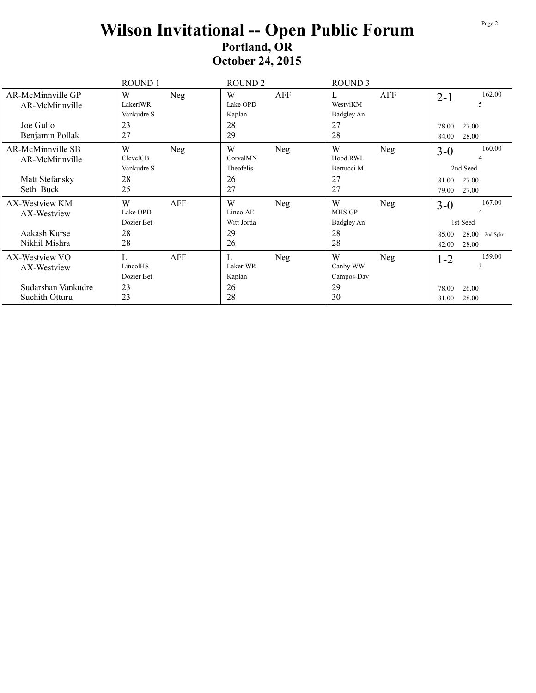## Wilson Invitational -- Open Public Forum Portland, OR **October 24, 2015**

|                                      | ROUND 1                            | ROUND <sub>2</sub>                 | ROUND <sub>3</sub>                      |                                              |
|--------------------------------------|------------------------------------|------------------------------------|-----------------------------------------|----------------------------------------------|
| AR-McMinnville GP<br>AR-McMinnville  | W<br>Neg<br>LakeriWR<br>Vankudre S | W<br>AFF<br>Lake OPD<br>Kaplan     | AFF<br>L<br>WestviKM<br>Badgley An      | 162.00<br>$2 - 1$<br>5                       |
| Joe Gullo<br>Benjamin Pollak         | 23<br>27                           | 28<br>29                           | 27<br>28                                | 27.00<br>78.00<br>28.00<br>84.00             |
| AR-McMinnville SB<br>AR-McMinnville  | W<br>Neg<br>ClevelCB<br>Vankudre S | W<br>Neg<br>CorvalMN<br>Theofelis  | W<br>Neg<br>Hood RWL<br>Bertucci M      | 160.00<br>$3 - 0$<br>4<br>2nd Seed           |
| Matt Stefansky<br>Seth Buck          | 28<br>25                           | 26<br>27                           | 27<br>27                                | 27.00<br>81.00<br>27.00<br>79.00             |
| AX-Westview KM<br>AX-Westview        | W<br>AFF<br>Lake OPD<br>Dozier Bet | W<br>Neg<br>LincolAE<br>Witt Jorda | W<br>Neg<br><b>MHS GP</b><br>Badgley An | 167.00<br>$3-0$<br>4<br>1st Seed             |
| Aakash Kurse<br>Nikhil Mishra        | 28<br>28                           | 29<br>26                           | 28<br>28                                | 28.00<br>85.00<br>2nd Spkr<br>28.00<br>82.00 |
| AX-Westview VO<br>AX-Westview        | AFF<br>L<br>LincolHS<br>Dozier Bet | L<br>Neg<br>LakeriWR<br>Kaplan     | W<br>Neg<br>Canby WW<br>Campos-Dav      | 159.00<br>$1 - 2$<br>3                       |
| Sudarshan Vankudre<br>Suchith Otturu | 23<br>23                           | 26<br>28                           | 29<br>30                                | 78.00<br>26.00<br>28.00<br>81.00             |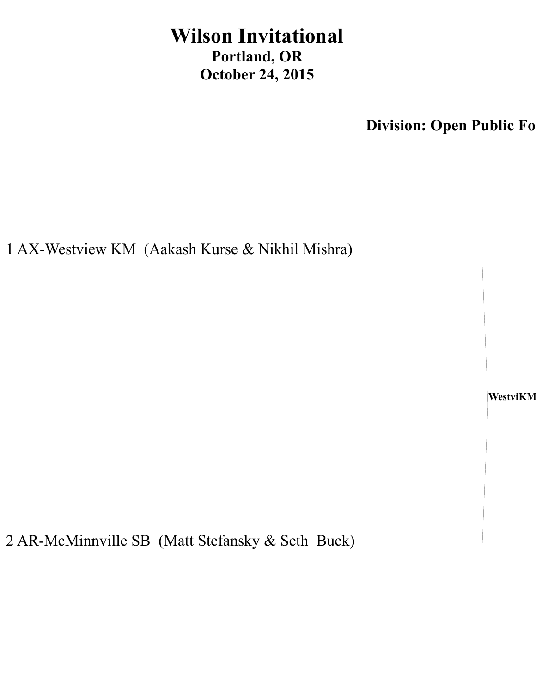## **Wilson Invitational** Portland, OR **October 24, 2015**

**Division: Open Public Fo** 

1 AX-Westview KM (Aakash Kurse & Nikhil Mishra)

WestviKM

2 AR-McMinnville SB (Matt Stefansky & Seth Buck)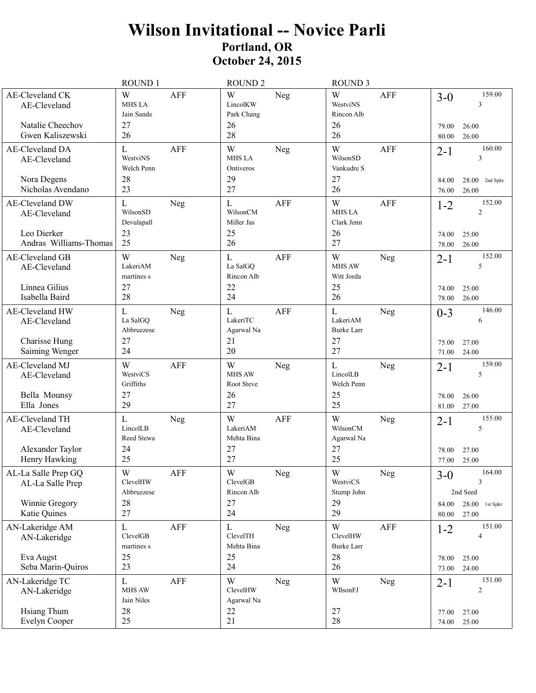## **Wilson Invitational -- Novice Parli Portland, OR October 24, 2015**

|                                                                                | <b>ROUND 1</b>                                    |            | <b>ROUND 2</b>                                    |            | <b>ROUND 3</b>                                    |            |                           |                                                       |
|--------------------------------------------------------------------------------|---------------------------------------------------|------------|---------------------------------------------------|------------|---------------------------------------------------|------------|---------------------------|-------------------------------------------------------|
| <b>AE-Cleveland CK</b><br>AE-Cleveland<br>Natalie Cheechov<br>Gwen Kaliszewski | W<br><b>MHS LA</b><br>Jain Sande<br>27<br>26      | <b>AFF</b> | W<br>LincolKW<br>Park Chang<br>26<br>28           | Neg        | W<br>WestviNS<br>Rincon Alb<br>26<br>26           | <b>AFF</b> | $3-0$<br>79.00<br>80.00   | 159.00<br>3<br>26.00<br>26.00                         |
| AE-Cleveland DA<br>AE-Cleveland                                                | $\mathbf L$<br>WestviNS<br>Welch Penn             | <b>AFF</b> | W<br><b>MHS LA</b><br>Ontiveros                   | Neg        | W<br>WilsonSD<br>Vankudre S                       | <b>AFF</b> | $2 - 1$                   | 160.00<br>3                                           |
| Nora Degens<br>Nicholas Avendano                                               | 28<br>23                                          |            | 29<br>27                                          |            | 27<br>26                                          |            | 84.00<br>76.00            | $28.00$ 2nd Spkr<br>26.00                             |
| AE-Cleveland DW<br>AE-Cleveland                                                | L<br>WilsonSD<br>Devulapall                       | Neg        | L<br>WilsonCM<br>Miller Jas                       | <b>AFF</b> | W<br><b>MHS LA</b><br>Clark Jenn                  | <b>AFF</b> | $1 - 2$                   | 152.00<br>$\overline{2}$                              |
| Leo Dierker<br>Andras Williams-Thomas                                          | 23<br>25                                          |            | 25<br>26                                          |            | 26<br>27                                          |            | 74.00<br>78.00            | 25.00<br>26.00                                        |
| AE-Cleveland GB<br>AE-Cleveland<br>Linnea Gilius<br>Isabella Baird             | W<br>LakeriAM<br>martines s<br>27<br>28           | Neg        | $\mathbf L$<br>La SalGQ<br>Rincon Alb<br>22<br>24 | <b>AFF</b> | W<br><b>MHS AW</b><br>Witt Jorda<br>25<br>26      | Neg        | $2 - 1$<br>74.00<br>78.00 | 152.00<br>5<br>25.00<br>26.00                         |
| AE-Cleveland HW<br>AE-Cleveland                                                | L<br>La SalGQ<br>Abbruzzese                       | Neg        | $\mathbf L$<br>LakeriTC<br>Agarwal Na             | <b>AFF</b> | $\mathbf{L}$<br>LakeriAM<br><b>Burke Larr</b>     | Neg        | $0 - 3$                   | 146.00<br>6                                           |
| Charisse Hung<br>Saiming Wenger                                                | 27<br>24                                          |            | 21<br>20                                          |            | 27<br>27                                          |            | 75.00<br>71.00            | 27.00<br>24.00                                        |
| AE-Cleveland MJ<br>AE-Cleveland<br>Bella Mounsy<br>Ella Jones                  | W<br>WestviCS<br>Griffiths<br>27<br>29            | AFF        | W<br><b>MHS AW</b><br>Root Steve<br>26<br>27      | Neg        | L<br>LincolLB<br>Welch Penn<br>25<br>25           | Neg        | $2 - 1$<br>78.00<br>81.00 | 159.00<br>5<br>26.00<br>27.00                         |
| AE-Cleveland TH<br>AE-Cleveland<br>Alexander Taylor<br>Henry Hawking           | L<br>LincolLB<br>Reed Stewa<br>24<br>25           | Neg        | W<br>LakeriAM<br>Mehta Bina<br>27<br>27           | <b>AFF</b> | W<br>WilsonCM<br>Agarwal Na<br>27<br>25           | Neg        | $2 - 1$<br>78.00<br>77.00 | 155.00<br>5<br>27.00<br>25.00                         |
| AL-La Salle Prep GQ<br>AL-La Salle Prep<br>Winnie Gregory<br>Katie Quines      | $\mathbf W$<br>ClevelHW<br>Abbruzzese<br>28<br>27 | AFF        | $\mathbf W$<br>ClevelGB<br>Rincon Alb<br>27<br>24 | Neg        | $\mathbf W$<br>WestviCS<br>Stump John<br>29<br>29 | Neg        | $3-0$<br>84.00<br>80.00   | 164.00<br>3<br>2nd Seed<br>28.00<br>1st Spkr<br>27.00 |
| AN-Lakeridge AM<br>AN-Lakeridge<br>Eva Augst<br>Seba Marin-Quiros              | L<br>ClevelGB<br>martines s<br>25<br>23           | AFF        | L<br>ClevelTH<br>Mehta Bina<br>25<br>24           | Neg        | W<br>ClevelHW<br><b>Burke Larr</b><br>28<br>26    | AFF        | $1 - 2$<br>78.00<br>73.00 | 151.00<br>4<br>25.00<br>24.00                         |
| AN-Lakeridge TC<br>AN-Lakeridge<br><b>Hsiang Thum</b><br>Evelyn Cooper         | $\mathbf L$<br>MHS AW<br>Jain Niles<br>28<br>25   | AFF        | W<br>ClevelHW<br>Agarwal Na<br>22<br>21           | Neg        | W<br>WIlsonFJ<br>27<br>28                         | Neg        | $2 - 1$<br>77.00          | 151.00<br>$\overline{c}$<br>27.00                     |
|                                                                                |                                                   |            |                                                   |            |                                                   |            | 74.00                     | 25.00                                                 |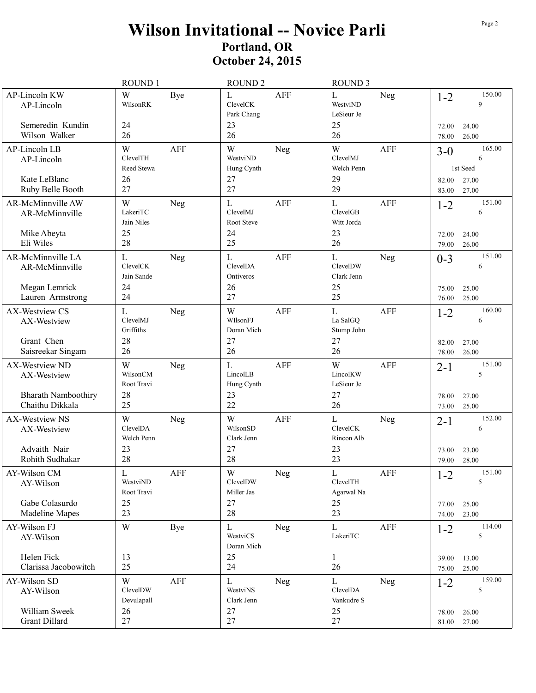## **Wilson Invitational -- Novice Parli Portland, OR October 24, 2015**

|                                                                                | ROUND 1                                                  | <b>ROUND 2</b>                                                 | <b>ROUND 3</b>                                                  |                                                            |
|--------------------------------------------------------------------------------|----------------------------------------------------------|----------------------------------------------------------------|-----------------------------------------------------------------|------------------------------------------------------------|
| AP-Lincoln KW<br>AP-Lincoln<br>Semeredin Kundin<br>Wilson Walker               | W<br>Bye<br>WilsonRK<br>24<br>26                         | L<br><b>AFF</b><br>ClevelCK<br>Park Chang<br>23<br>26          | L<br>Neg<br>WestviND<br>LeSieur Je<br>25<br>26                  | 150.00<br>$1 - 2$<br>9<br>72.00<br>24.00<br>78.00<br>26.00 |
| AP-Lincoln LB<br>AP-Lincoln                                                    | W<br><b>AFF</b><br>ClevelTH<br>Reed Stewa                | W<br>Neg<br>WestviND<br>Hung Cynth                             | W<br>AFF<br>ClevelMJ<br>Welch Penn                              | 165.00<br>$3-0$<br>6<br>1st Seed                           |
| Kate LeBlanc<br>Ruby Belle Booth                                               | 26<br>27                                                 | 27<br>27                                                       | 29<br>29                                                        | 27.00<br>82.00<br>27.00<br>83.00                           |
| AR-McMinnville AW<br>AR-McMinnville                                            | W<br>Neg<br>LakeriTC<br>Jain Niles                       | L<br>AFF<br>ClevelMJ<br>Root Steve                             | $\mathbf L$<br><b>AFF</b><br>ClevelGB<br>Witt Jorda             | 151.00<br>$1 - 2$<br>6                                     |
| Mike Abeyta<br>Eli Wiles                                                       | 25<br>28                                                 | 24<br>25                                                       | 23<br>26                                                        | 24.00<br>72.00<br>26.00<br>79.00                           |
| AR-McMinnville LA<br>AR-McMinnville<br>Megan Lemrick<br>Lauren Armstrong       | $\mathbf L$<br>Neg<br>ClevelCK<br>Jain Sande<br>24<br>24 | L<br><b>AFF</b><br>ClevelDA<br>Ontiveros<br>26<br>27           | $\mathbf L$<br><b>Neg</b><br>ClevelDW<br>Clark Jenn<br>25<br>25 | 151.00<br>$0 - 3$<br>6<br>25.00<br>75.00<br>25.00<br>76.00 |
| AX-Westview CS<br>AX-Westview                                                  | L<br>Neg<br>ClevelMJ<br>Griffiths                        | W<br><b>AFF</b><br>WIlsonFJ<br>Doran Mich                      | <b>AFF</b><br>L<br>La SalGQ<br>Stump John                       | 160.00<br>$1 - 2$<br>6                                     |
| Grant Chen<br>Saisreekar Singam                                                | 28<br>26                                                 | 27<br>26                                                       | 27<br>26                                                        | 82.00<br>27.00<br>26.00<br>78.00                           |
| AX-Westview ND<br>AX-Westview<br><b>Bharath Namboothiry</b><br>Chaithu Dikkala | W<br>Neg<br>WilsonCM<br>Root Travi<br>28<br>25           | L<br><b>AFF</b><br>LincolLB<br>Hung Cynth<br>23<br>22          | W<br><b>AFF</b><br>LincolKW<br>LeSieur Je<br>27<br>26           | 151.00<br>$2 - 1$<br>5<br>78.00<br>27.00<br>25.00<br>73.00 |
| AX-Westview NS<br>AX-Westview<br>Advaith Nair<br>Rohith Sudhakar               | W<br>Neg<br>ClevelDA<br>Welch Penn<br>23<br>28           | W<br><b>AFF</b><br>WilsonSD<br>Clark Jenn<br>27<br>28          | L<br>Neg<br>ClevelCK<br>Rincon Alb<br>23<br>23                  | 152.00<br>$2 - 1$<br>6<br>23.00<br>73.00<br>28.00<br>79.00 |
| AY-Wilson CM<br>AY-Wilson<br>Gabe Colasurdo                                    | $\mathbf L$<br>AFF<br>WestviND<br>Root Travi<br>25       | $\ensuremath{\text{W}}$<br>Neg<br>ClevelDW<br>Miller Jas<br>27 | $\mathbf L$<br>AFF<br>ClevelTH<br>Agarwal Na<br>25              | 151.00<br>$1 - 2$<br>5<br>25.00<br>77.00                   |
| Madeline Mapes<br>AY-Wilson FJ                                                 | 23<br>W<br>Bye                                           | 28<br>$\mathbf{L}$<br><b>Neg</b>                               | 23<br>AFF<br>L                                                  | 23.00<br>74.00<br>114.00<br>$1 - 2$                        |
| AY-Wilson                                                                      |                                                          | WestviCS<br>Doran Mich                                         | LakeriTC                                                        | $\sqrt{5}$                                                 |
| Helen Fick<br>Clarissa Jacobowitch                                             | 13<br>25                                                 | 25<br>24                                                       | 1<br>26                                                         | 13.00<br>39.00<br>25.00<br>75.00                           |
| AY-Wilson SD<br>AY-Wilson                                                      | W<br><b>AFF</b><br>ClevelDW<br>Devulapall                | L<br>Neg<br>WestviNS<br>Clark Jenn                             | L<br>Neg<br>ClevelDA<br>Vankudre S                              | 159.00<br>$1 - 2$<br>5                                     |
| William Sweek<br><b>Grant Dillard</b>                                          | 26<br>27                                                 | 27<br>27                                                       | 25<br>27                                                        | 26.00<br>78.00<br>81.00 27.00                              |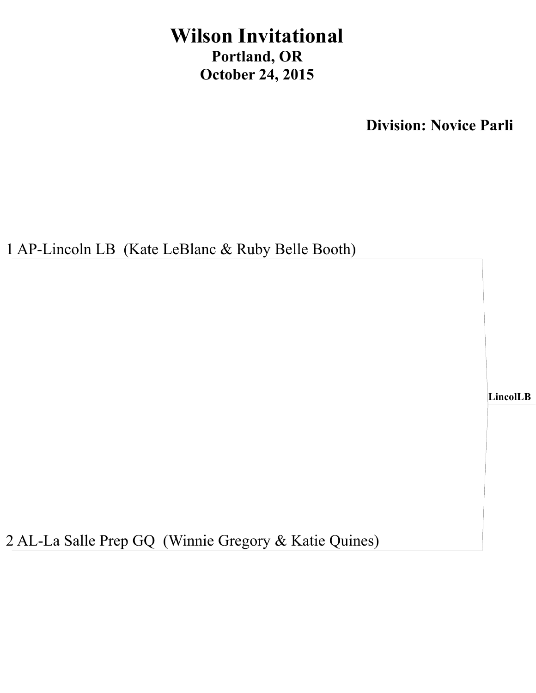## **Wilson Invitational Portland, OR October 24, 2015**

**Division: Novice Parli**

1 AP-Lincoln LB (Kate LeBlanc & Ruby Belle Booth)

**LincolLB**

2 AL-La Salle Prep GQ (Winnie Gregory & Katie Quines)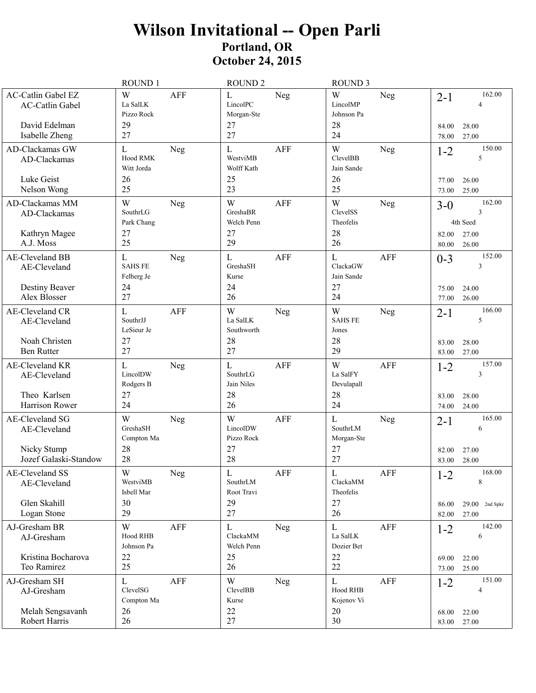# Wilson Invitational -- Open Parli<br>Portland, OR<br>October 24, 2015

|                                                                                        | ROUND <sub>1</sub>                                       | ROUND <sub>2</sub>                                         | ROUND <sub>3</sub>                                               |                                                            |
|----------------------------------------------------------------------------------------|----------------------------------------------------------|------------------------------------------------------------|------------------------------------------------------------------|------------------------------------------------------------|
| <b>AC-Catlin Gabel EZ</b><br><b>AC-Catlin Gabel</b><br>David Edelman<br>Isabelle Zheng | W<br><b>AFF</b><br>La SalLK<br>Pizzo Rock<br>29<br>27    | $\mathbf L$<br>Neg<br>LincolPC<br>Morgan-Ste<br>27<br>27   | W<br>Neg<br>LincolMP<br>Johnson Pa<br>28<br>24                   | 162.00<br>$2 - 1$<br>28.00<br>84.00<br>27.00<br>78.00      |
| AD-Clackamas GW<br>AD-Clackamas<br>Luke Geist                                          | L<br>Neg<br>Hood RMK<br>Witt Jorda<br>26                 | $\mathbf L$<br><b>AFF</b><br>WestviMB<br>Wolff Kath<br>25  | W<br>Neg<br><b>ClevelBB</b><br>Jain Sande<br>26                  | 150.00<br>$1 - 2$<br>5<br>26.00<br>77.00                   |
| Nelson Wong                                                                            | 25                                                       | 23                                                         | 25                                                               | 25.00<br>73.00                                             |
| AD-Clackamas MM<br>AD-Clackamas                                                        | W<br>Neg<br>SouthrLG<br>Park Chang                       | W<br><b>AFF</b><br>GreshaBR<br>Welch Penn                  | W<br><b>Neg</b><br>ClevelSS<br>Theofelis                         | 162.00<br>$3-0$<br>3<br>4th Seed                           |
| Kathryn Magee<br>A.J. Moss                                                             | 27<br>25                                                 | 27<br>29                                                   | 28<br>26                                                         | 27.00<br>82.00<br>26.00<br>80.00                           |
| <b>AE-Cleveland BB</b><br>AE-Cleveland<br>Destiny Beaver<br>Alex Blosser               | L<br>Neg<br><b>SAHS FE</b><br>Felberg Je<br>24<br>27     | $\mathbf L$<br><b>AFF</b><br>GreshaSH<br>Kurse<br>24<br>26 | <b>AFF</b><br>$\mathbf{L}$<br>ClackaGW<br>Jain Sande<br>27<br>24 | 152.00<br>$0 - 3$<br>3<br>24.00<br>75.00<br>26.00<br>77.00 |
| <b>AE-Cleveland CR</b><br>AE-Cleveland                                                 | $\mathbf{L}$<br><b>AFF</b><br>SouthrJJ<br>LeSieur Je     | W<br>Neg<br>La SalLK<br>Southworth                         | W<br>Neg<br><b>SAHS FE</b><br>Jones                              | 166.00<br>$2 - 1$<br>5                                     |
| Noah Christen<br><b>Ben Rutter</b>                                                     | 27<br>27                                                 | 28<br>27                                                   | 28<br>29                                                         | 28.00<br>83.00<br>83.00<br>27.00                           |
| <b>AE-Cleveland KR</b><br>AE-Cleveland<br>Theo Karlsen                                 | L<br>Neg<br>LincolDW<br>Rodgers B<br>27                  | <b>AFF</b><br>$\mathbf L$<br>SouthrLG<br>Jain Niles<br>28  | W<br><b>AFF</b><br>La SalFY<br>Devulapall<br>28                  | 157.00<br>$1 - 2$<br>3<br>83.00<br>28.00                   |
| Harrison Rower                                                                         | 24                                                       | 26                                                         | 24                                                               | 24.00<br>74.00                                             |
| <b>AE-Cleveland SG</b><br>AE-Cleveland<br>Nicky Stump                                  | W<br>Neg<br>GreshaSH<br>Compton Ma<br>28                 | W<br><b>AFF</b><br>LincolDW<br>Pizzo Rock<br>27            | $\mathbf{L}$<br><b>Neg</b><br>SouthrLM<br>Morgan-Ste<br>27       | 165.00<br>$2 - 1$<br>6<br>27.00<br>82.00                   |
| Jozef Galaski-Standow                                                                  | 28                                                       | 28                                                         | 27                                                               | 28.00<br>83.00                                             |
| <b>AE-Cleveland SS</b><br>AE-Cleveland                                                 | $\ensuremath{\text{W}}$<br>Neg<br>WestviMB<br>Isbell Mar | AFF<br>$\mathbf L$<br>SouthrLM<br>Root Travi               | AFF<br>$\mathbf L$<br>ClackaMM<br>Theofelis                      | 168.00<br>$1 - 2$<br>8                                     |
| Glen Skahill<br>Logan Stone                                                            | 30<br>29                                                 | 29<br>27                                                   | 27<br>26                                                         | $29.00$ 2nd Spkr<br>86.00<br>27.00<br>82.00                |
| AJ-Gresham BR<br>AJ-Gresham                                                            | W<br>AFF<br>Hood RHB<br>Johnson Pa                       | $\mathbf L$<br>Neg<br>ClackaMM<br>Welch Penn               | $\mathbf L$<br>AFF<br>La SalLK<br>Dozier Bet                     | 142.00<br>$1 - 2$<br>6                                     |
| Kristina Bocharova<br>Teo Ramirez                                                      | 22<br>25                                                 | 25<br>26                                                   | 22<br>22                                                         | 22.00<br>69.00<br>25.00<br>73.00                           |
| AJ-Gresham SH<br>AJ-Gresham<br>Melah Sengsavanh                                        | $\mathbf L$<br>AFF<br>ClevelSG<br>Compton Ma<br>26       | W<br>Neg<br>ClevelBB<br>Kurse<br>22                        | $\mathbf L$<br>AFF<br>Hood RHB<br>Kojenov Vi<br>20               | 151.00<br>$1 - 2$<br>$\overline{4}$<br>22.00<br>68.00      |
| Robert Harris                                                                          | 26                                                       | 27                                                         | 30                                                               | 27.00<br>83.00                                             |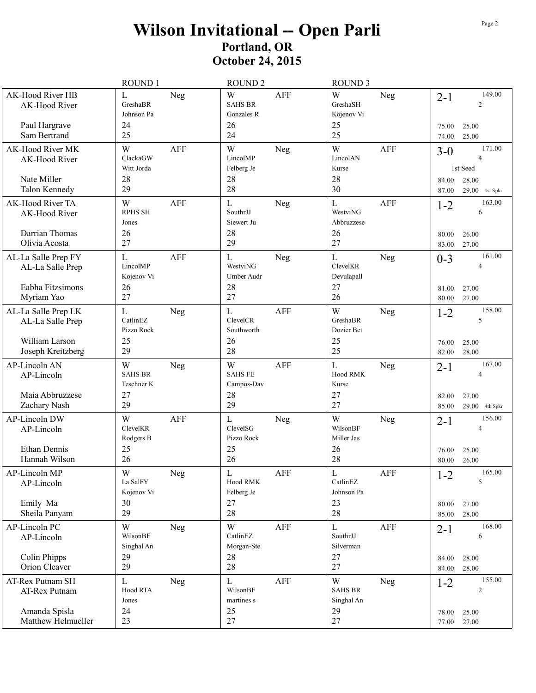## Wilson Invitational -- Open Parli<br>Portland, OR<br>October 24, 2015

|                                                                | <b>ROUND 1</b>                                                |                | <b>ROUND 2</b>                                       |             | <b>ROUND 3</b>                                    |            |                           |                                                     |
|----------------------------------------------------------------|---------------------------------------------------------------|----------------|------------------------------------------------------|-------------|---------------------------------------------------|------------|---------------------------|-----------------------------------------------------|
| AK-Hood River HB<br>AK-Hood River<br>Paul Hargrave             | $\mathbf L$<br>GreshaBR<br>Johnson Pa<br>24                   | Neg            | W<br><b>SAHS BR</b><br>Gonzales R<br>26              | <b>AFF</b>  | W<br>GreshaSH<br>Kojenov Vi<br>25                 | <b>Neg</b> | $2 - 1$<br>75.00          | 149.00<br>$\overline{2}$<br>25.00                   |
| Sam Bertrand                                                   | 25                                                            |                | 24                                                   |             | 25                                                |            | 74.00                     | 25.00                                               |
| AK-Hood River MK<br>AK-Hood River                              | W<br>ClackaGW<br>Witt Jorda                                   | <b>AFF</b>     | W<br>LincolMP<br>Felberg Je                          | Neg         | W<br>LincolAN<br>Kurse                            | <b>AFF</b> | $3 - 0$                   | 171.00<br>$\overline{4}$<br>1st Seed                |
| Nate Miller<br>Talon Kennedy                                   | 28<br>29                                                      |                | 28<br>28                                             |             | 28<br>30                                          |            | 84.00<br>87.00            | 28.00<br>$29.00$ 1st Spkr                           |
| AK-Hood River TA<br>AK-Hood River                              | W<br><b>RPHS SH</b><br>Jones                                  | <b>AFF</b>     | L<br>SouthrJJ<br>Siewert Ju                          | Neg         | L<br>WestviNG<br>Abbruzzese                       | <b>AFF</b> | $1 - 2$                   | 163.00<br>6                                         |
| Darrian Thomas<br>Olivia Acosta                                | 26<br>27                                                      |                | 28<br>29                                             |             | 26<br>27                                          |            | 80.00<br>83.00            | 26.00<br>27.00                                      |
| AL-La Salle Prep FY<br>AL-La Salle Prep<br>Eabha Fitzsimons    | L<br>LincolMP<br>Kojenov Vi<br>26                             | <b>AFF</b>     | L<br>WestviNG<br>Umber Audr<br>28                    | Neg         | L<br>ClevelKR<br>Devulapall<br>27                 | Neg        | $0 - 3$<br>81.00          | 161.00<br>$\overline{4}$<br>27.00                   |
| Myriam Yao                                                     | 27                                                            |                | 27                                                   |             | 26                                                |            | 80.00                     | 27.00                                               |
| AL-La Salle Prep LK<br>AL-La Salle Prep                        | L<br>CatlinEZ<br>Pizzo Rock                                   | Neg            | $\mathbf{L}$<br>ClevelCR<br>Southworth               | <b>AFF</b>  | W<br>GreshaBR<br>Dozier Bet                       | <b>Neg</b> | $1 - 2$                   | 158.00<br>$\sqrt{5}$                                |
| William Larson<br>Joseph Kreitzberg                            | 25<br>29                                                      |                | 26<br>28                                             |             | 25<br>25                                          |            | 76.00<br>82.00            | 25.00<br>28.00                                      |
| AP-Lincoln AN<br>AP-Lincoln<br>Maia Abbruzzese<br>Zachary Nash | W<br><b>SAHS BR</b><br>Teschner K<br>27<br>29                 | Neg            | W<br><b>SAHS FE</b><br>Campos-Dav<br>28<br>29        | <b>AFF</b>  | L<br>Hood RMK<br>Kurse<br>27<br>27                | Neg        | $2 - 1$<br>82.00<br>85.00 | 167.00<br>$\overline{4}$<br>27.00<br>29.00 4th Spkr |
| <b>AP-Lincoln DW</b><br>AP-Lincoln<br>Ethan Dennis             | W<br>ClevelKR<br>Rodgers B<br>25                              | <b>AFF</b>     | L<br>ClevelSG<br>Pizzo Rock<br>25                    | Neg         | W<br>WilsonBF<br>Miller Jas<br>26                 | Neg        | $2 - 1$<br>76.00          | 156.00<br>$\overline{4}$<br>25.00                   |
| Hannah Wilson                                                  | 26                                                            |                | 26                                                   |             | 28                                                |            | 80.00                     | 26.00                                               |
| AP-Lincoln MP<br>AP-Lincoln<br>Emily Ma<br>Sheila Panyam       | $\ensuremath{\text{W}}$<br>La SalFY<br>Kojenov Vi<br>30<br>29 | ${\hbox{Neg}}$ | $\overline{L}$<br>Hood RMK<br>Felberg Je<br>27<br>28 | ${\rm AFF}$ | $\mathbf L$<br>CatlinEZ<br>Johnson Pa<br>23<br>28 | AFF        | $1 - 2$<br>80.00<br>85.00 | 165.00<br>5<br>27.00<br>28.00                       |
|                                                                |                                                               |                |                                                      |             |                                                   |            |                           | 168.00                                              |
| AP-Lincoln PC<br>AP-Lincoln                                    | W<br>WilsonBF<br>Singhal An<br>29                             | Neg            | W<br>CatlinEZ<br>Morgan-Ste<br>28                    | AFF         | L<br>SouthrJJ<br>Silverman<br>27                  | AFF        | $2 - 1$                   | 6                                                   |
| Colin Phipps<br>Orion Cleaver                                  | 29                                                            |                | 28                                                   |             | 27                                                |            | 84.00<br>84.00            | 28.00<br>28.00                                      |
| AT-Rex Putnam SH<br>AT-Rex Putnam<br>Amanda Spisla             | $\mathbf L$<br>Hood RTA<br>Jones<br>24                        | Neg            | $\mathbf L$<br>WilsonBF<br>martines s<br>25          | AFF         | W<br><b>SAHS BR</b><br>Singhal An<br>29           | <b>Neg</b> | $1 - 2$<br>78.00          | 155.00<br>$\sqrt{2}$<br>25.00                       |
| Matthew Helmueller                                             | 23                                                            |                | 27                                                   |             | 27                                                |            | 77.00                     | 27.00                                               |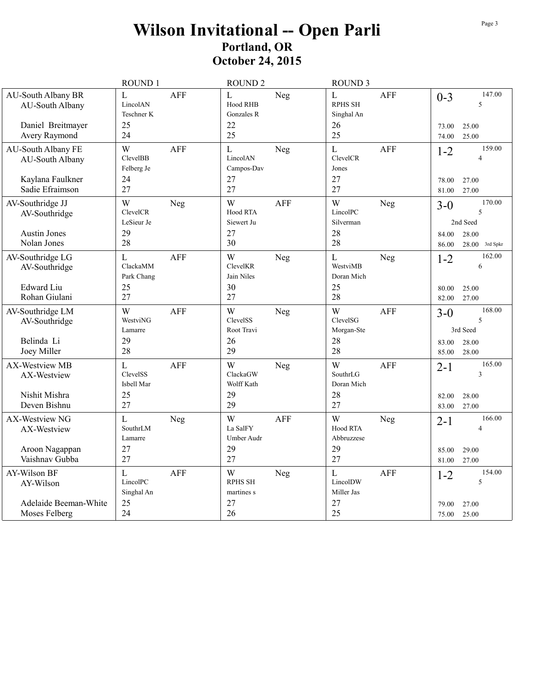## Wilson Invitational -- Open Parli<br>Portland, OR **October 24, 2015**

|                                                                         | ROUND 1                                                | <b>ROUND 2</b>                                        | <b>ROUND 3</b>                                            |                                                                                 |
|-------------------------------------------------------------------------|--------------------------------------------------------|-------------------------------------------------------|-----------------------------------------------------------|---------------------------------------------------------------------------------|
| <b>AU-South Albany BR</b><br>AU-South Albany<br>Daniel Breitmayer       | L<br>AFF<br>LincolAN<br>Teschner K<br>25               | L<br>Neg<br>Hood RHB<br>Gonzales R<br>22              | L<br>AFF<br><b>RPHS SH</b><br>Singhal An<br>26            | 147.00<br>$0 - 3$<br>5<br>25.00<br>73.00                                        |
| Avery Raymond                                                           | 24                                                     | 25                                                    | 25                                                        | 25.00<br>74.00                                                                  |
| <b>AU-South Albany FE</b><br>AU-South Albany<br>Kaylana Faulkner        | W<br><b>AFF</b><br>ClevelBB<br>Felberg Je<br>24        | L<br>Neg<br>LincolAN<br>Campos-Dav<br>27              | $\mathbf L$<br><b>AFF</b><br>ClevelCR<br>Jones<br>27      | 159.00<br>$1 - 2$<br>$\overline{4}$<br>78.00<br>27.00                           |
| Sadie Efraimson                                                         | 27                                                     | 27                                                    | 27                                                        | 81.00<br>27.00                                                                  |
| AV-Southridge JJ<br>AV-Southridge<br><b>Austin Jones</b><br>Nolan Jones | W<br>Neg<br>ClevelCR<br>LeSieur Je<br>29<br>28         | W<br><b>AFF</b><br>Hood RTA<br>Siewert Ju<br>27<br>30 | W<br>Neg<br>LincolPC<br>Silverman<br>28<br>28             | 170.00<br>$3-0$<br>5<br>2nd Seed<br>28.00<br>84.00<br>86.00<br>$28.00$ 3rd Spkr |
| AV-Southridge LG<br>AV-Southridge<br>Edward Liu                         | L<br><b>AFF</b><br>ClackaMM<br>Park Chang<br>25        | W<br>Neg<br>ClevelKR<br>Jain Niles<br>30              | $\mathbf L$<br><b>Neg</b><br>WestviMB<br>Doran Mich<br>25 | 162.00<br>$1 - 2$<br>6<br>25.00<br>80.00                                        |
| Rohan Giulani                                                           | 27                                                     | 27                                                    | 28                                                        | 27.00<br>82.00                                                                  |
| AV-Southridge LM<br>AV-Southridge<br>Belinda Li                         | W<br><b>AFF</b><br>WestviNG<br>Lamarre<br>29           | W<br>Neg<br>ClevelSS<br>Root Travi<br>26              | W<br><b>AFF</b><br>ClevelSG<br>Morgan-Ste<br>28           | 168.00<br>$3 - 0$<br>5<br>3rd Seed<br>28.00<br>83.00                            |
| Joey Miller                                                             | 28                                                     | 29<br>W                                               | 28<br>W                                                   | 28.00<br>85.00<br>165.00                                                        |
| AX-Westview MB<br>AX-Westview                                           | L<br><b>AFF</b><br>ClevelSS<br>Isbell Mar              | Neg<br>ClackaGW<br>Wolff Kath                         | <b>AFF</b><br>SouthrLG<br>Doran Mich                      | $2 - 1$<br>$\mathfrak{Z}$                                                       |
| Nishit Mishra<br>Deven Bishnu                                           | 25<br>27                                               | 29<br>29                                              | 28<br>27                                                  | 28.00<br>82.00<br>27.00<br>83.00                                                |
| AX-Westview NG<br>AX-Westview                                           | L<br>Neg<br>SouthrLM<br>Lamarre                        | W<br><b>AFF</b><br>La SalFY<br>Umber Audr             | W<br>Neg<br>Hood RTA<br>Abbruzzese                        | 166.00<br>$2 - 1$<br>$\overline{4}$                                             |
| Aroon Nagappan<br>Vaishnav Gubba                                        | 27<br>27                                               | 29<br>27                                              | 29<br>27                                                  | 85.00<br>29.00<br>27.00<br>81.00                                                |
| <b>AY-Wilson BF</b><br>AY-Wilson                                        | $\overline{L}$<br><b>AFF</b><br>LincolPC<br>Singhal An | W<br>Neg<br><b>RPHS SH</b><br>martines s              | $\mathbf{L}$<br><b>AFF</b><br>LincolDW<br>Miller Jas      | 154.00<br>$1 - 2$<br>5                                                          |
| Adelaide Beeman-White<br>Moses Felberg                                  | 25<br>24                                               | 27<br>26                                              | 27<br>25                                                  | 79.00<br>27.00<br>75.00<br>25.00                                                |